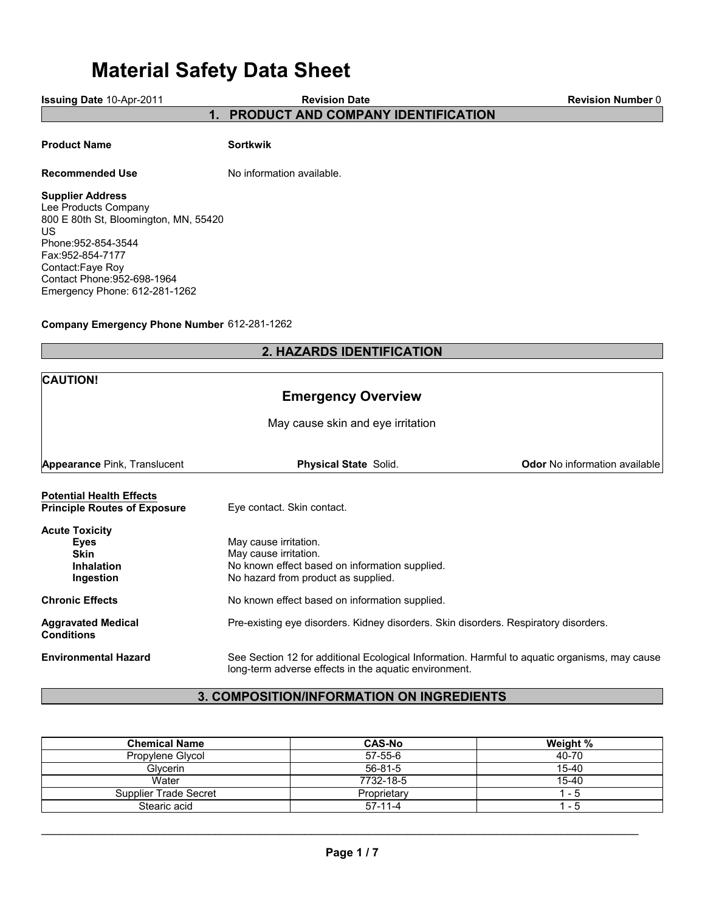# **Material Safety Data Sheet**

**Issuing Date** 10-Apr-2011

**Revision Date**

**Revision Number** 0

**1. PRODUCT AND COMPANY IDENTIFICATION**

## **Product Name Sortkwik**

## **Recommended Use** No information available.

## **Supplier Address**

Lee Products Company 800 E 80th St, Bloomington, MN, 55420 US Phone:952-854-3544 Fax:952-854-7177 Contact:Faye Roy Contact Phone:952-698-1964 Emergency Phone: 612-281-1262

## **Company Emergency Phone Number** 612-281-1262

# **2. HAZARDS IDENTIFICATION**

| <b>CAUTION!</b>                                                                |                                                                                                                                                        |                                      |  |  |
|--------------------------------------------------------------------------------|--------------------------------------------------------------------------------------------------------------------------------------------------------|--------------------------------------|--|--|
| <b>Emergency Overview</b>                                                      |                                                                                                                                                        |                                      |  |  |
| May cause skin and eye irritation                                              |                                                                                                                                                        |                                      |  |  |
| <b>Appearance Pink, Translucent</b>                                            | <b>Physical State Solid.</b>                                                                                                                           | <b>Odor</b> No information available |  |  |
| <b>Potential Health Effects</b><br><b>Principle Routes of Exposure</b>         | Eye contact. Skin contact.                                                                                                                             |                                      |  |  |
| <b>Acute Toxicity</b><br>Eyes<br><b>Skin</b><br><b>Inhalation</b><br>Ingestion | May cause irritation.<br>May cause irritation.<br>No known effect based on information supplied.<br>No hazard from product as supplied.                |                                      |  |  |
| <b>Chronic Effects</b>                                                         | No known effect based on information supplied.                                                                                                         |                                      |  |  |
| <b>Aggravated Medical</b><br><b>Conditions</b>                                 | Pre-existing eye disorders. Kidney disorders. Skin disorders. Respiratory disorders.                                                                   |                                      |  |  |
| <b>Environmental Hazard</b>                                                    | See Section 12 for additional Ecological Information. Harmful to aquatic organisms, may cause<br>long-term adverse effects in the aquatic environment. |                                      |  |  |

# **3. COMPOSITION/INFORMATION ON INGREDIENTS**

| <b>Chemical Name</b>  | <b>CAS-No</b> | Weight %  |
|-----------------------|---------------|-----------|
| Propylene Glycol      | $57-55-6$     | 40-70     |
| <b>Glvcerin</b>       | $56 - 81 - 5$ | 15-40     |
| Water                 | 7732-18-5     | $15 - 40$ |
| Supplier Trade Secret | Proprietary   | - 5       |
| Stearic acid          | $57-11-4$     | - 5       |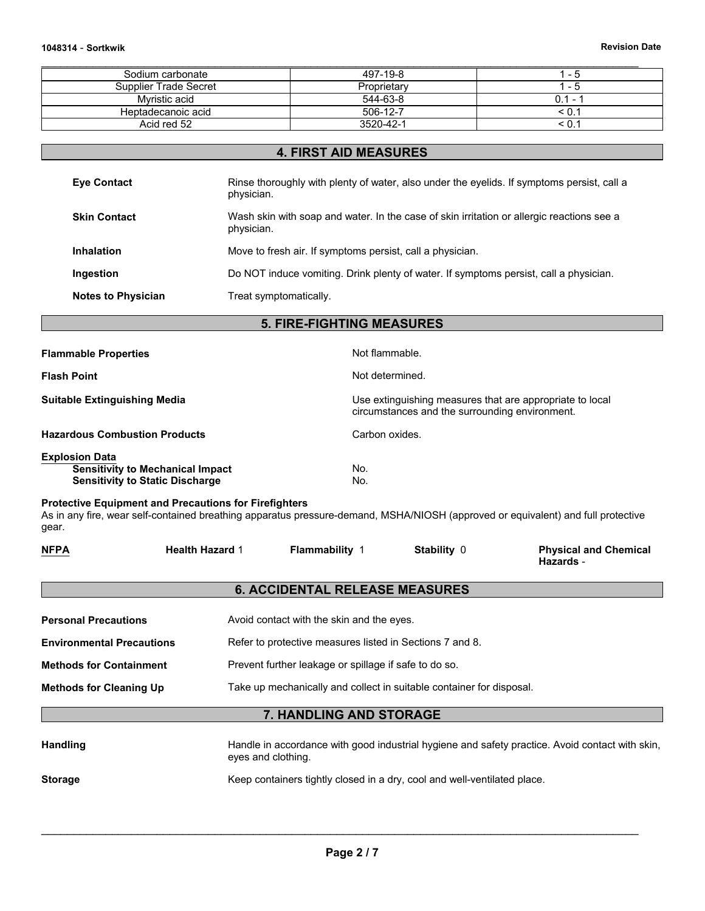| Sodium carbonate      | 497-19-8    | - 5        |
|-----------------------|-------------|------------|
| Supplier Trade Secret | Proprietary | - 5        |
| Mvristic acid         | 544-63-8    | $0.1 - ?$  |
| Heptadecanoic acid    | 506-12-7    | $\leq 0.1$ |
| Acid red 52           | 3520-42-1   |            |

# **4. FIRST AID MEASURES**

| <b>Eye Contact</b>        | Rinse thoroughly with plenty of water, also under the eyelids. If symptoms persist, call a<br>physician. |
|---------------------------|----------------------------------------------------------------------------------------------------------|
| <b>Skin Contact</b>       | Wash skin with soap and water. In the case of skin irritation or allergic reactions see a<br>physician.  |
| <b>Inhalation</b>         | Move to fresh air. If symptoms persist, call a physician.                                                |
| Ingestion                 | Do NOT induce vomiting. Drink plenty of water. If symptoms persist, call a physician.                    |
| <b>Notes to Physician</b> | Treat symptomatically.                                                                                   |

# **5. FIRE-FIGHTING MEASURES**

| <b>Flammable Properties</b>                                                                                | Not flammable.                                                                                             |
|------------------------------------------------------------------------------------------------------------|------------------------------------------------------------------------------------------------------------|
| <b>Flash Point</b>                                                                                         | Not determined.                                                                                            |
| <b>Suitable Extinguishing Media</b>                                                                        | Use extinguishing measures that are appropriate to local<br>circumstances and the surrounding environment. |
| <b>Hazardous Combustion Products</b>                                                                       | Carbon oxides.                                                                                             |
| <b>Explosion Data</b><br><b>Sensitivity to Mechanical Impact</b><br><b>Sensitivity to Static Discharge</b> | No.<br>No.                                                                                                 |

#### **Protective Equipment and Precautions for Firefighters**

As in any fire, wear self-contained breathing apparatus pressure-demand, MSHA/NIOSH (approved or equivalent) and full protective gear.

| <b>NFPA</b>                      | <b>Health Hazard 1</b> | <b>Flammability 1</b>                                    | Stability 0 | <b>Physical and Chemical</b><br>Hazards - |
|----------------------------------|------------------------|----------------------------------------------------------|-------------|-------------------------------------------|
|                                  |                        | <b>6. ACCIDENTAL RELEASE MEASURES</b>                    |             |                                           |
| <b>Personal Precautions</b>      |                        | Avoid contact with the skin and the eyes.                |             |                                           |
| <b>Environmental Precautions</b> |                        | Refer to protective measures listed in Sections 7 and 8. |             |                                           |
| <b>Methods for Containment</b>   |                        | Prevent further leakage or spillage if safe to do so.    |             |                                           |

**Methods for Cleaning Up** Take up mechanically and collect in suitable container for disposal.

# **7. HANDLING AND STORAGE**

| <b>Handling</b> | Handle in accordance with good industrial hygiene and safety practice. Avoid contact with skin,<br>eyes and clothing. |
|-----------------|-----------------------------------------------------------------------------------------------------------------------|
| <b>Storage</b>  | Keep containers tightly closed in a dry, cool and well-ventilated place.                                              |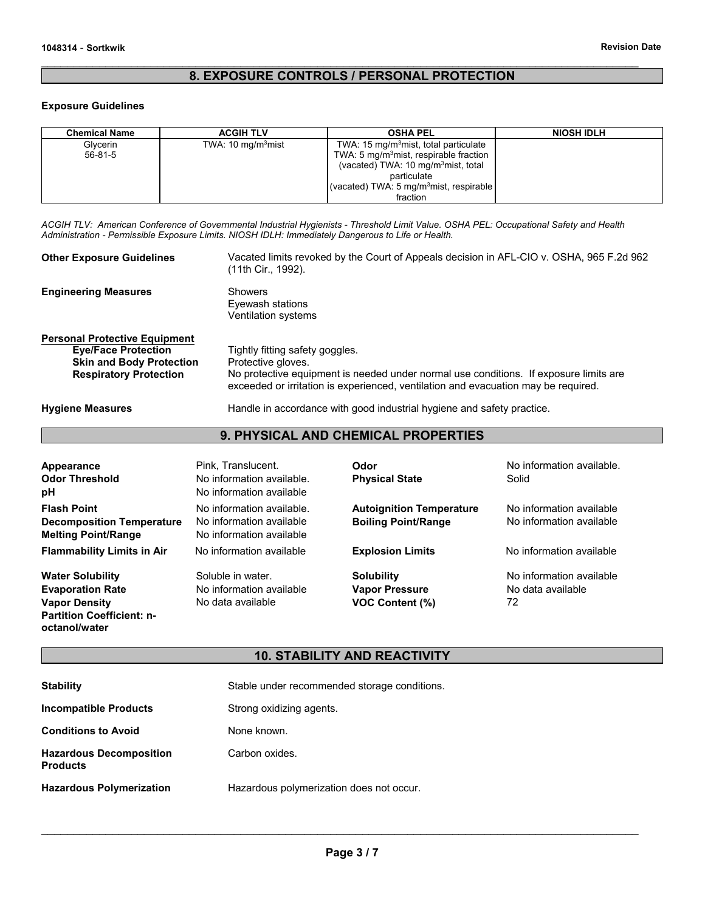# **8. EXPOSURE CONTROLS / PERSONAL PROTECTION**

 $\mathcal{L}_\mathcal{L} = \{ \mathcal{L}_\mathcal{L} = \{ \mathcal{L}_\mathcal{L} = \{ \mathcal{L}_\mathcal{L} = \{ \mathcal{L}_\mathcal{L} = \{ \mathcal{L}_\mathcal{L} = \{ \mathcal{L}_\mathcal{L} = \{ \mathcal{L}_\mathcal{L} = \{ \mathcal{L}_\mathcal{L} = \{ \mathcal{L}_\mathcal{L} = \{ \mathcal{L}_\mathcal{L} = \{ \mathcal{L}_\mathcal{L} = \{ \mathcal{L}_\mathcal{L} = \{ \mathcal{L}_\mathcal{L} = \{ \mathcal{L}_\mathcal{$ 

#### **Exposure Guidelines**

| <b>Chemical Name</b> | <b>ACGIH TLV</b>     | <b>OSHA PEL</b>                                     | <b>NIOSH IDLH</b> |
|----------------------|----------------------|-----------------------------------------------------|-------------------|
| Glycerin             | TWA: 10 $mq/m3$ mist | TWA: 15 mg/m <sup>3</sup> mist, total particulate   |                   |
| $56 - 81 - 5$        |                      | TWA: 5 mg/m <sup>3</sup> mist, respirable fraction  |                   |
|                      |                      | (vacated) TWA: 10 mg/m <sup>3</sup> mist, total     |                   |
|                      |                      | particulate                                         |                   |
|                      |                      | (vacated) TWA: 5 mg/m <sup>3</sup> mist, respirable |                   |
|                      |                      | fraction                                            |                   |

*ACGIH TLV: American Conference of Governmental Industrial Hygienists - Threshold Limit Value. OSHA PEL: Occupational Safety and Health Administration - Permissible Exposure Limits. NIOSH IDLH: Immediately Dangerous to Life or Health.*

| <b>Other Exposure Guidelines</b>                                                                                                       | Vacated limits revoked by the Court of Appeals decision in AFL-CIO v. OSHA, 965 F.2d 962<br>(11th Cir., 1992).                                                                                                                       |
|----------------------------------------------------------------------------------------------------------------------------------------|--------------------------------------------------------------------------------------------------------------------------------------------------------------------------------------------------------------------------------------|
| <b>Engineering Measures</b>                                                                                                            | Showers<br>Eyewash stations<br>Ventilation systems                                                                                                                                                                                   |
| <b>Personal Protective Equipment</b><br><b>Eye/Face Protection</b><br><b>Skin and Body Protection</b><br><b>Respiratory Protection</b> | Tightly fitting safety goggles.<br>Protective gloves.<br>No protective equipment is needed under normal use conditions. If exposure limits are<br>exceeded or irritation is experienced, ventilation and evacuation may be required. |
| <b>Hygiene Measures</b>                                                                                                                | Handle in accordance with good industrial hygiene and safety practice.                                                                                                                                                               |

**9. PHYSICAL AND CHEMICAL PROPERTIES**

| Appearance<br><b>Odor Threshold</b><br>рH                                                                                       | Pink. Translucent.<br>No information available.<br>No information available       | Odor<br><b>Physical State</b>                                        | No information available.<br>Solid                   |
|---------------------------------------------------------------------------------------------------------------------------------|-----------------------------------------------------------------------------------|----------------------------------------------------------------------|------------------------------------------------------|
| <b>Flash Point</b><br><b>Decomposition Temperature</b><br><b>Melting Point/Range</b>                                            | No information available.<br>No information available<br>No information available | <b>Autoignition Temperature</b><br><b>Boiling Point/Range</b>        | No information available<br>No information available |
| <b>Flammability Limits in Air</b>                                                                                               | No information available                                                          | <b>Explosion Limits</b>                                              | No information available                             |
| <b>Water Solubility</b><br><b>Evaporation Rate</b><br><b>Vapor Density</b><br><b>Partition Coefficient: n-</b><br>octanol/water | Soluble in water.<br>No information available<br>No data available                | <b>Solubility</b><br><b>Vapor Pressure</b><br><b>VOC Content (%)</b> | No information available<br>No data available<br>72  |

# **10. STABILITY AND REACTIVITY**

| <b>Stability</b>                                  | Stable under recommended storage conditions. |
|---------------------------------------------------|----------------------------------------------|
| <b>Incompatible Products</b>                      | Strong oxidizing agents.                     |
| <b>Conditions to Avoid</b>                        | None known.                                  |
| <b>Hazardous Decomposition</b><br><b>Products</b> | Carbon oxides.                               |
| <b>Hazardous Polymerization</b>                   | Hazardous polymerization does not occur.     |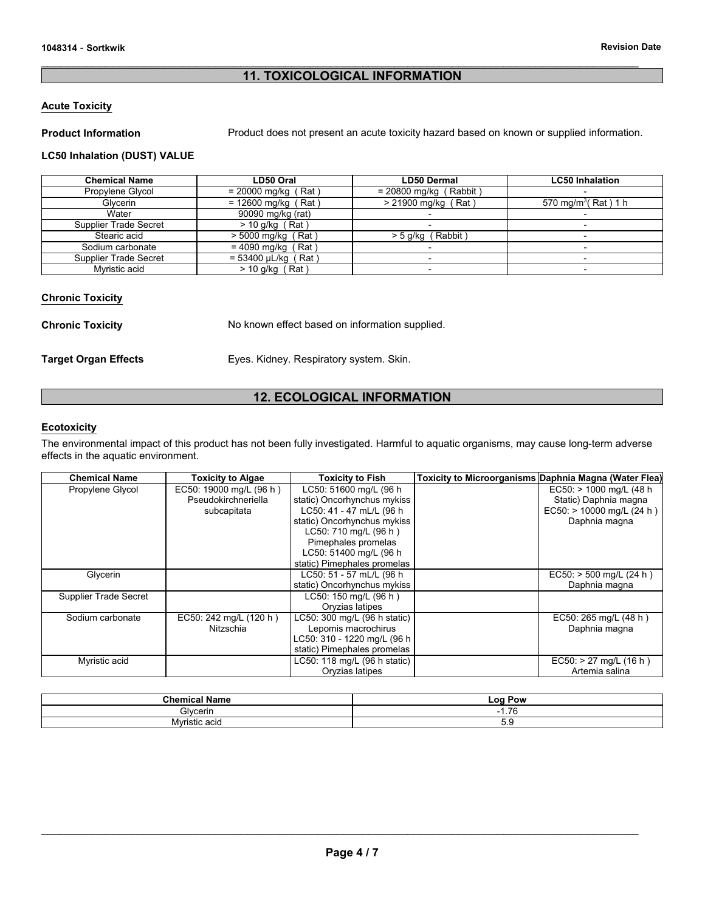# **11. TOXICOLOGICAL INFORMATION**

 $\mathcal{L}_\mathcal{L} = \{ \mathcal{L}_\mathcal{L} = \{ \mathcal{L}_\mathcal{L} = \{ \mathcal{L}_\mathcal{L} = \{ \mathcal{L}_\mathcal{L} = \{ \mathcal{L}_\mathcal{L} = \{ \mathcal{L}_\mathcal{L} = \{ \mathcal{L}_\mathcal{L} = \{ \mathcal{L}_\mathcal{L} = \{ \mathcal{L}_\mathcal{L} = \{ \mathcal{L}_\mathcal{L} = \{ \mathcal{L}_\mathcal{L} = \{ \mathcal{L}_\mathcal{L} = \{ \mathcal{L}_\mathcal{L} = \{ \mathcal{L}_\mathcal{$ 

## **Acute Toxicity**

**Product Information Product does not present an acute toxicity hazard based on known or supplied information.** 

## **LC50 Inhalation (DUST) VALUE**

| <b>Chemical Name</b>  | LD50 Oral                 | <b>LD50 Dermal</b>       | <b>LC50 Inhalation</b>          |
|-----------------------|---------------------------|--------------------------|---------------------------------|
| Propylene Glycol      | $= 20000$ mg/kg (Rat)     | $= 20800$ mg/kg (Rabbit) |                                 |
| Glycerin              | $= 12600$ mg/kg (Rat)     | > 21900 mg/kg (Rat)      | 570 mg/m <sup>3</sup> (Rat) 1 h |
| Water                 | 90090 mg/kg (rat)         |                          | $\overline{\phantom{0}}$        |
| Supplier Trade Secret | $>$ 10 g/kg (Rat)         |                          | $\overline{\phantom{0}}$        |
| Stearic acid          | $> 5000$ mg/kg (<br>(Rat) | > 5 g/kg (Rabbit)        | -                               |
| Sodium carbonate      | Rat )<br>= 4090 mg/kg     |                          | $\overline{\phantom{0}}$        |
| Supplier Trade Secret | $= 53400 \mu L/kg$ (Rat)  |                          | $\overline{\phantom{0}}$        |
| Myristic acid         | $>$ 10 g/kg (Rat)         |                          | $\overline{\phantom{0}}$        |

## **Chronic Toxicity**

**Chronic Toxicity No known effect based on information supplied.** 

**Target Organ Effects** Eyes. Kidney. Respiratory system. Skin.

## **12. ECOLOGICAL INFORMATION**

## **Ecotoxicity**

The environmental impact of this product has not been fully investigated. Harmful to aquatic organisms, may cause long-term adverse effects in the aquatic environment.

| <b>Chemical Name</b>  | <b>Toxicity to Algae</b> | <b>Toxicity to Fish</b>      | <b>Toxicity to Microorganisms Daphnia Magna (Water Flea)</b> |
|-----------------------|--------------------------|------------------------------|--------------------------------------------------------------|
| Propylene Glycol      | EC50: 19000 mg/L (96 h)  | LC50: 51600 mg/L (96 h       | $EC50:$ > 1000 mg/L (48 h)                                   |
|                       | Pseudokirchneriella      | static) Oncorhynchus mykiss  | Static) Daphnia magna                                        |
|                       | subcapitata              | LC50: 41 - 47 mL/L (96 h     | EC50: > 10000 mg/L (24 h)                                    |
|                       |                          | static) Oncorhynchus mykiss  | Daphnia magna                                                |
|                       |                          | LC50: 710 mg/L (96 h)        |                                                              |
|                       |                          | Pimephales promelas          |                                                              |
|                       |                          | LC50: 51400 mg/L (96 h)      |                                                              |
|                       |                          | static) Pimephales promelas  |                                                              |
| Glycerin              |                          | LC50: 51 - 57 mL/L (96 h     | $EC50:$ > 500 mg/L (24 h)                                    |
|                       |                          | static) Oncorhynchus mykiss  | Daphnia magna                                                |
| Supplier Trade Secret |                          | LC50: 150 mg/L (96 h)        |                                                              |
|                       |                          | Oryzias latipes              |                                                              |
| Sodium carbonate      | EC50: 242 mg/L (120 h)   | LC50: 300 mg/L (96 h static) | EC50: 265 mg/L (48 h)                                        |
|                       | Nitzschia                | Lepomis macrochirus          | Daphnia magna                                                |
|                       |                          | LC50: 310 - 1220 mg/L (96 h  |                                                              |
|                       |                          | static) Pimephales promelas  |                                                              |
| Myristic acid         |                          | LC50: 118 mg/L (96 h static) | $EC50:$ > 27 mg/L (16 h)                                     |
|                       |                          | Oryzias latipes              | Artemia salina                                               |

| .<br>Chemica.<br><b>Name</b> | Log Pow                            |
|------------------------------|------------------------------------|
| Glvcerin                     | $\overline{\phantom{a}}$<br>-<br>. |
| Myristic acid                | ບ.ວ                                |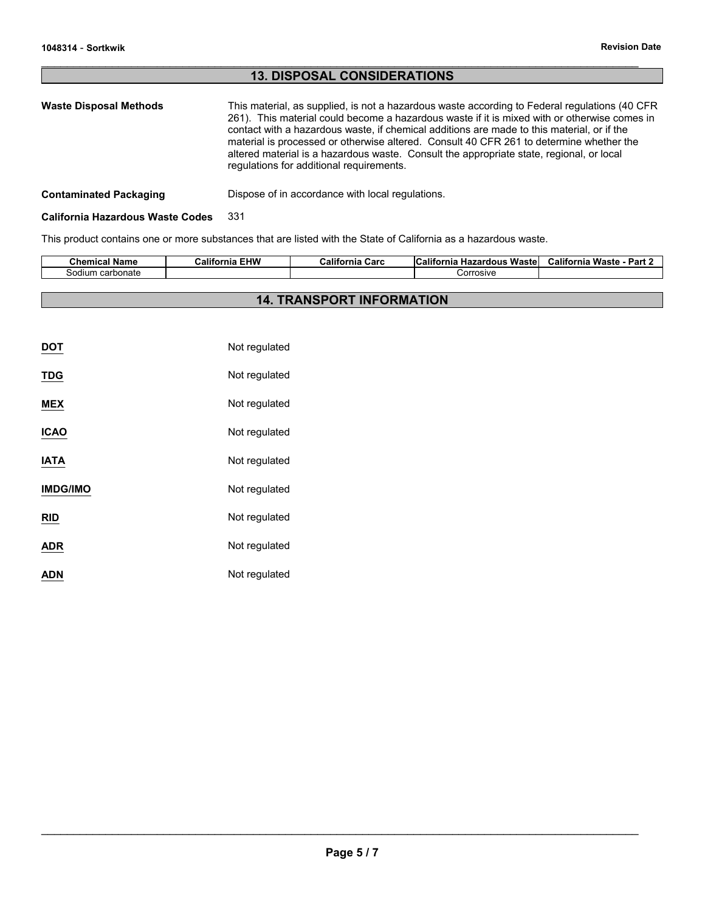# **13. DISPOSAL CONSIDERATIONS**

 $\mathcal{L}_\mathcal{L} = \{ \mathcal{L}_\mathcal{L} = \{ \mathcal{L}_\mathcal{L} = \{ \mathcal{L}_\mathcal{L} = \{ \mathcal{L}_\mathcal{L} = \{ \mathcal{L}_\mathcal{L} = \{ \mathcal{L}_\mathcal{L} = \{ \mathcal{L}_\mathcal{L} = \{ \mathcal{L}_\mathcal{L} = \{ \mathcal{L}_\mathcal{L} = \{ \mathcal{L}_\mathcal{L} = \{ \mathcal{L}_\mathcal{L} = \{ \mathcal{L}_\mathcal{L} = \{ \mathcal{L}_\mathcal{L} = \{ \mathcal{L}_\mathcal{$ 

## **Contaminated Packaging <b>Dispose** of in accordance with local regulations.

## **California Hazardous Waste Codes** 331

This product contains one or more substances that are listed with the State of California as a hazardous waste.

| <b>Chemical Name</b> | <b>EHW</b><br>California | California<br>Carc | <b>California</b><br>Wastel<br>Hazardous | <b>California</b><br>Part.<br>Waste |
|----------------------|--------------------------|--------------------|------------------------------------------|-------------------------------------|
| ⊧carbonate<br>sodium |                          |                    | Corrosive                                |                                     |
|                      |                          |                    |                                          |                                     |

# **14. TRANSPORT INFORMATION**

| DOT             | Not regulated |
|-----------------|---------------|
| TDG             | Not regulated |
| MEX             | Not regulated |
| ICAO            | Not regulated |
| IATA            | Not regulated |
| <b>IMDG/IMO</b> | Not regulated |
| RID             | Not regulated |
| ADR             | Not regulated |
| ADN             | Not regulated |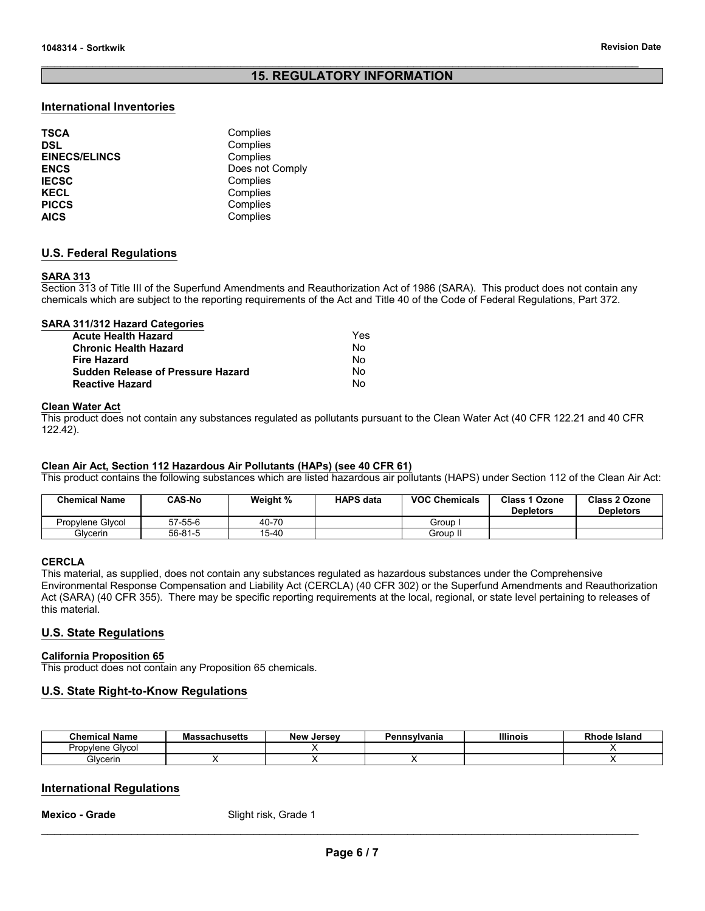# **15. REGULATORY INFORMATION**

 $\mathcal{L}_\mathcal{L} = \{ \mathcal{L}_\mathcal{L} = \{ \mathcal{L}_\mathcal{L} = \{ \mathcal{L}_\mathcal{L} = \{ \mathcal{L}_\mathcal{L} = \{ \mathcal{L}_\mathcal{L} = \{ \mathcal{L}_\mathcal{L} = \{ \mathcal{L}_\mathcal{L} = \{ \mathcal{L}_\mathcal{L} = \{ \mathcal{L}_\mathcal{L} = \{ \mathcal{L}_\mathcal{L} = \{ \mathcal{L}_\mathcal{L} = \{ \mathcal{L}_\mathcal{L} = \{ \mathcal{L}_\mathcal{L} = \{ \mathcal{L}_\mathcal{$ 

## **International Inventories**

| <b>TSCA</b>          | Complies        |
|----------------------|-----------------|
| <b>DSL</b>           | Complies        |
| <b>EINECS/ELINCS</b> | Complies        |
| <b>ENCS</b>          | Does not Comply |
| <b>IECSC</b>         | Complies        |
| <b>KECL</b>          | Complies        |
| <b>PICCS</b>         | Complies        |
| <b>AICS</b>          | Complies        |

## **U.S. Federal Regulations**

#### **SARA 313**

Section 313 of Title III of the Superfund Amendments and Reauthorization Act of 1986 (SARA). This product does not contain any chemicals which are subject to the reporting requirements of the Act and Title 40 of the Code of Federal Regulations, Part 372.

#### **SARA 311/312 Hazard Categories**

| <b>Acute Health Hazard</b>               | Yes |
|------------------------------------------|-----|
| <b>Chronic Health Hazard</b>             | N٥  |
| <b>Fire Hazard</b>                       | No  |
| <b>Sudden Release of Pressure Hazard</b> | N٥  |
| <b>Reactive Hazard</b>                   | N٥  |

#### **Clean Water Act**

This product does not contain any substances regulated as pollutants pursuant to the Clean Water Act (40 CFR 122.21 and 40 CFR 122.42).

## **Clean Air Act, Section 112 Hazardous Air Pollutants (HAPs) (see 40 CFR 61)**

This product contains the following substances which are listed hazardous air pollutants (HAPS) under Section 112 of the Clean Air Act:

| <b>Chemical Name</b> | <b>CAS-No</b> | Weight % | <b>HAPS data</b> | <b>VOC Chemicals</b> | <b>Class 1 Ozone</b><br><b>Depletors</b> | Class 2 Ozone<br><b>Depletors</b> |
|----------------------|---------------|----------|------------------|----------------------|------------------------------------------|-----------------------------------|
| Propylene Glycol     | $57 - 55 - 6$ | 40-70    |                  | Group                |                                          |                                   |
| Glvcerin             | $56 - 81 - 5$ | 15-40    |                  | Group II             |                                          |                                   |

## **CERCLA**

This material, as supplied, does not contain any substances regulated as hazardous substances under the Comprehensive Environmental Response Compensation and Liability Act (CERCLA) (40 CFR 302) or the Superfund Amendments and Reauthorization Act (SARA) (40 CFR 355). There may be specific reporting requirements at the local, regional, or state level pertaining to releases of this material.

## **U.S. State Regulations**

#### **California Proposition 65**

This product does not contain any Proposition 65 chemicals.

## **U.S. State Right-to-Know Regulations**

| Chemical Name       | <b>Massachusetts</b> | <b>New</b><br>Jersev | Pennsvlvania | <b>Illinois</b> | ⊧ Island<br>Rhode |
|---------------------|----------------------|----------------------|--------------|-----------------|-------------------|
| Glvcol<br>Propvlene |                      |                      |              |                 |                   |
| Glvcerin            |                      |                      |              |                 |                   |

## **International Regulations**

**Mexico - Grade** Slight risk, Grade 1